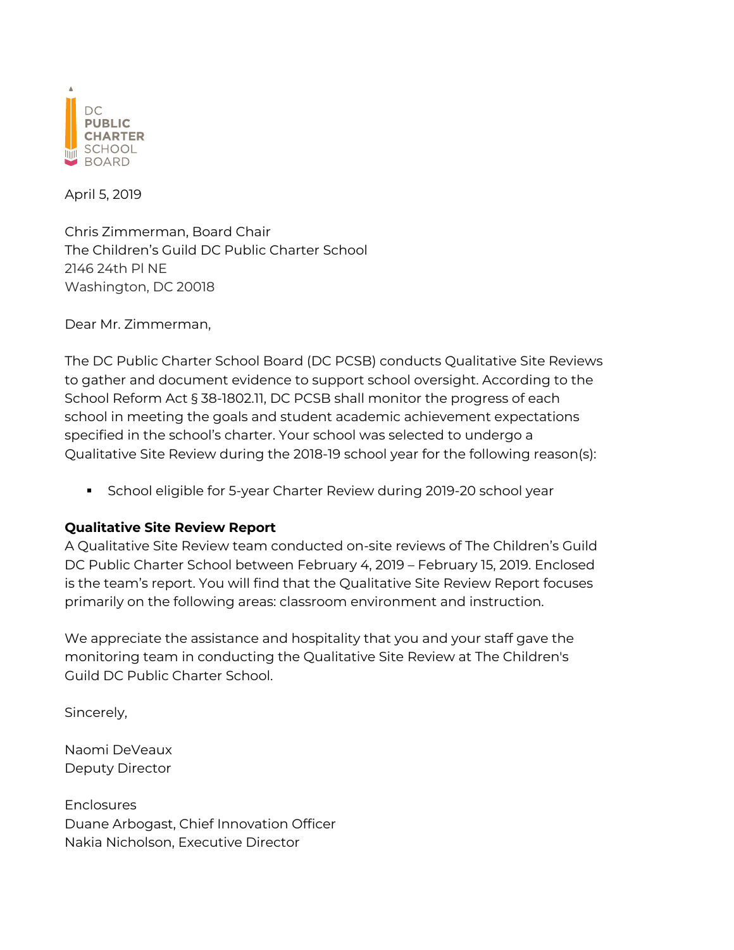

April 5, 2019

Chris Zimmerman, Board Chair The Children's Guild DC Public Charter School 2146 24th Pl NE Washington, DC 20018

Dear Mr. Zimmerman,

The DC Public Charter School Board (DC PCSB) conducts Qualitative Site Reviews to gather and document evidence to support school oversight. According to the School Reform Act § 38-1802.11, DC PCSB shall monitor the progress of each school in meeting the goals and student academic achievement expectations specified in the school's charter. Your school was selected to undergo a Qualitative Site Review during the 2018-19 school year for the following reason(s):

**•** School eligible for 5-year Charter Review during 2019-20 school year

## **Qualitative Site Review Report**

A Qualitative Site Review team conducted on-site reviews of The Children's Guild DC Public Charter School between February 4, 2019 – February 15, 2019. Enclosed is the team's report. You will find that the Qualitative Site Review Report focuses primarily on the following areas: classroom environment and instruction.

We appreciate the assistance and hospitality that you and your staff gave the monitoring team in conducting the Qualitative Site Review at The Children's Guild DC Public Charter School.

Sincerely,

Naomi DeVeaux Deputy Director

**Enclosures** Duane Arbogast, Chief Innovation Officer Nakia Nicholson, Executive Director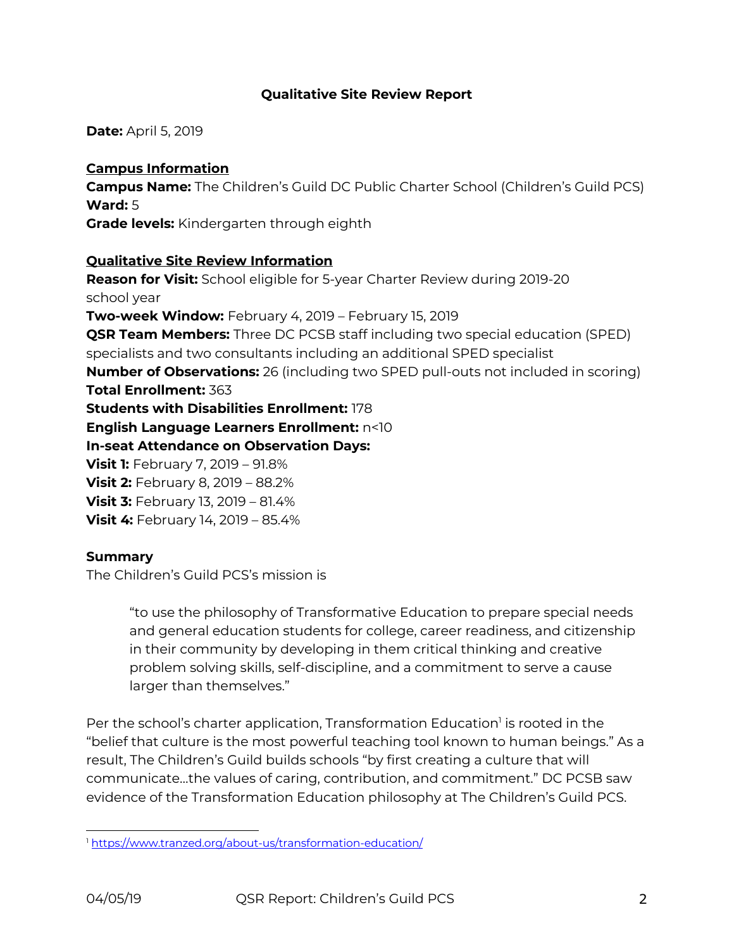## **Qualitative Site Review Report**

**Date:** April 5, 2019

## **Campus Information**

**Campus Name:** The Children's Guild DC Public Charter School (Children's Guild PCS) **Ward:** 5

**Grade levels:** Kindergarten through eighth

## **Qualitative Site Review Information**

**Reason for Visit:** School eligible for 5-year Charter Review during 2019-20 school year **Two-week Window:** February 4, 2019 – February 15, 2019 **QSR Team Members:** Three DC PCSB staff including two special education (SPED) specialists and two consultants including an additional SPED specialist **Number of Observations:** 26 (including two SPED pull-outs not included in scoring) **Total Enrollment:** 363 **Students with Disabilities Enrollment:** 178 **English Language Learners Enrollment:** n<10 **In-seat Attendance on Observation Days: Visit 1:** February 7, 2019 – 91.8% **Visit 2:** February 8, 2019 – 88.2% **Visit 3:** February 13, 2019 – 81.4% **Visit 4:** February 14, 2019 – 85.4%

## **Summary**

The Children's Guild PCS's mission is

"to use the philosophy of Transformative Education to prepare special needs and general education students for college, career readiness, and citizenship in their community by developing in them critical thinking and creative problem solving skills, self-discipline, and a commitment to serve a cause larger than themselves."

Per the school's charter application, Transformation Education<sup>1</sup> is rooted in the "belief that culture is the most powerful teaching tool known to human beings." As a result, The Children's Guild builds schools "by first creating a culture that will communicate…the values of caring, contribution, and commitment." DC PCSB saw evidence of the Transformation Education philosophy at The Children's Guild PCS.

<sup>1</sup> https://www.tranzed.org/about-us/transformation-education/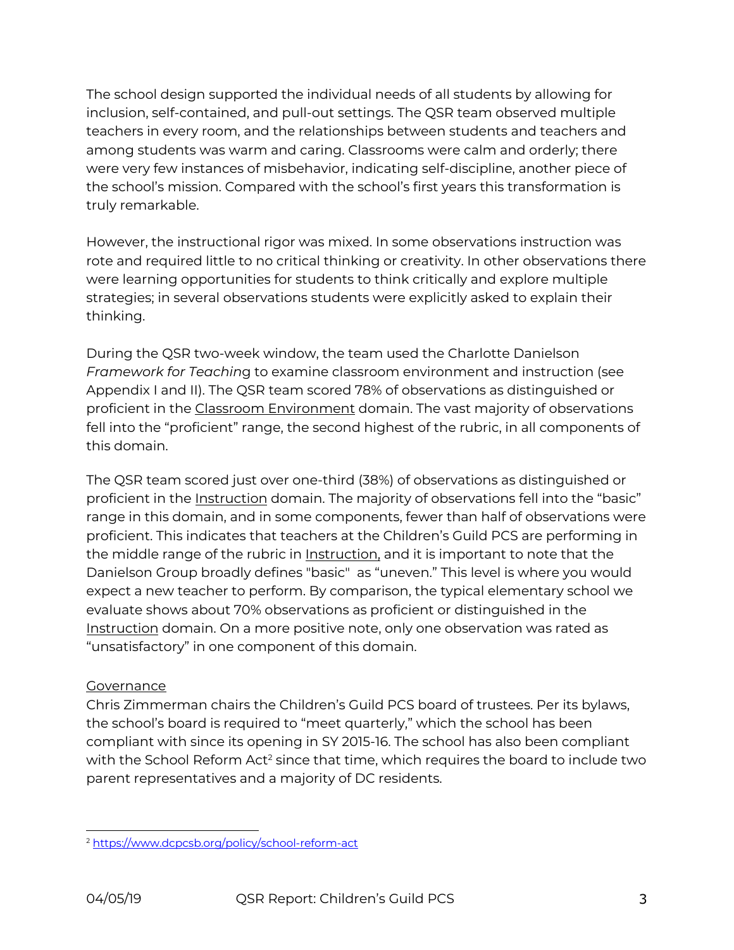The school design supported the individual needs of all students by allowing for inclusion, self-contained, and pull-out settings. The QSR team observed multiple teachers in every room, and the relationships between students and teachers and among students was warm and caring. Classrooms were calm and orderly; there were very few instances of misbehavior, indicating self-discipline, another piece of the school's mission. Compared with the school's first years this transformation is truly remarkable.

However, the instructional rigor was mixed. In some observations instruction was rote and required little to no critical thinking or creativity. In other observations there were learning opportunities for students to think critically and explore multiple strategies; in several observations students were explicitly asked to explain their thinking.

During the QSR two-week window, the team used the Charlotte Danielson *Framework for Teachin*g to examine classroom environment and instruction (see Appendix I and II). The QSR team scored 78% of observations as distinguished or proficient in the Classroom Environment domain. The vast majority of observations fell into the "proficient" range, the second highest of the rubric, in all components of this domain.

The QSR team scored just over one-third (38%) of observations as distinguished or proficient in the Instruction domain. The majority of observations fell into the "basic" range in this domain, and in some components, fewer than half of observations were proficient. This indicates that teachers at the Children's Guild PCS are performing in the middle range of the rubric in Instruction, and it is important to note that the Danielson Group broadly defines "basic" as "uneven." This level is where you would expect a new teacher to perform. By comparison, the typical elementary school we evaluate shows about 70% observations as proficient or distinguished in the Instruction domain. On a more positive note, only one observation was rated as "unsatisfactory" in one component of this domain.

## Governance

Chris Zimmerman chairs the Children's Guild PCS board of trustees. Per its bylaws, the school's board is required to "meet quarterly," which the school has been compliant with since its opening in SY 2015-16. The school has also been compliant with the School Reform Act<sup>2</sup> since that time, which requires the board to include two parent representatives and a majority of DC residents.

<sup>2</sup> https://www.dcpcsb.org/policy/school-reform-act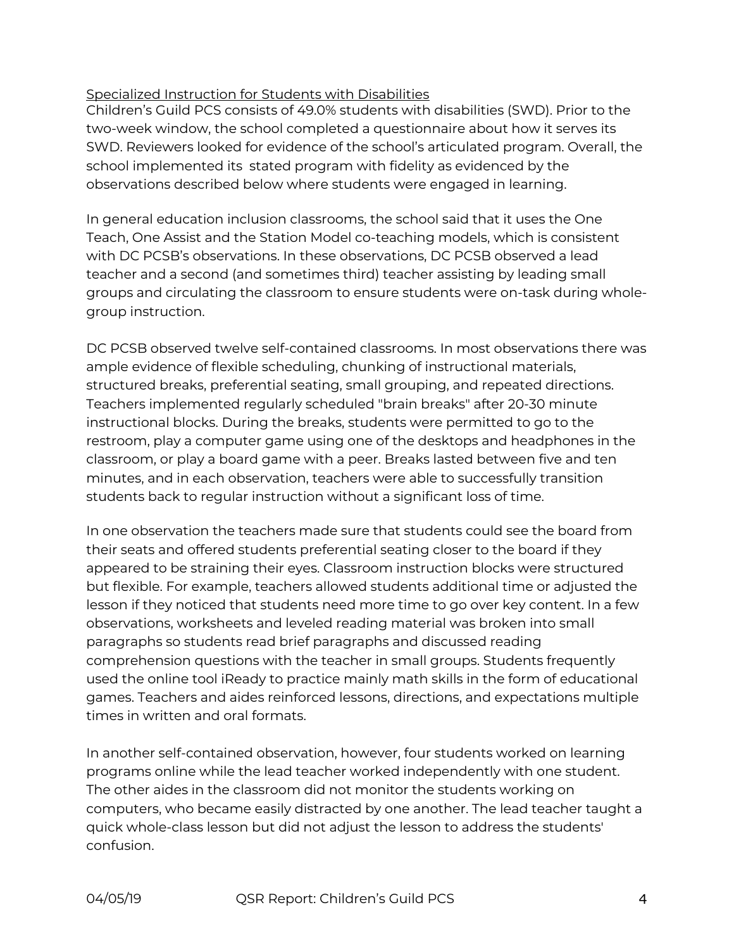## Specialized Instruction for Students with Disabilities

Children's Guild PCS consists of 49.0% students with disabilities (SWD). Prior to the two-week window, the school completed a questionnaire about how it serves its SWD. Reviewers looked for evidence of the school's articulated program. Overall, the school implemented its stated program with fidelity as evidenced by the observations described below where students were engaged in learning.

In general education inclusion classrooms, the school said that it uses the One Teach, One Assist and the Station Model co-teaching models, which is consistent with DC PCSB's observations. In these observations, DC PCSB observed a lead teacher and a second (and sometimes third) teacher assisting by leading small groups and circulating the classroom to ensure students were on-task during wholegroup instruction.

DC PCSB observed twelve self-contained classrooms. In most observations there was ample evidence of flexible scheduling, chunking of instructional materials, structured breaks, preferential seating, small grouping, and repeated directions. Teachers implemented regularly scheduled "brain breaks" after 20-30 minute instructional blocks. During the breaks, students were permitted to go to the restroom, play a computer game using one of the desktops and headphones in the classroom, or play a board game with a peer. Breaks lasted between five and ten minutes, and in each observation, teachers were able to successfully transition students back to regular instruction without a significant loss of time.

In one observation the teachers made sure that students could see the board from their seats and offered students preferential seating closer to the board if they appeared to be straining their eyes. Classroom instruction blocks were structured but flexible. For example, teachers allowed students additional time or adjusted the lesson if they noticed that students need more time to go over key content. In a few observations, worksheets and leveled reading material was broken into small paragraphs so students read brief paragraphs and discussed reading comprehension questions with the teacher in small groups. Students frequently used the online tool iReady to practice mainly math skills in the form of educational games. Teachers and aides reinforced lessons, directions, and expectations multiple times in written and oral formats.

In another self-contained observation, however, four students worked on learning programs online while the lead teacher worked independently with one student. The other aides in the classroom did not monitor the students working on computers, who became easily distracted by one another. The lead teacher taught a quick whole-class lesson but did not adjust the lesson to address the students' confusion.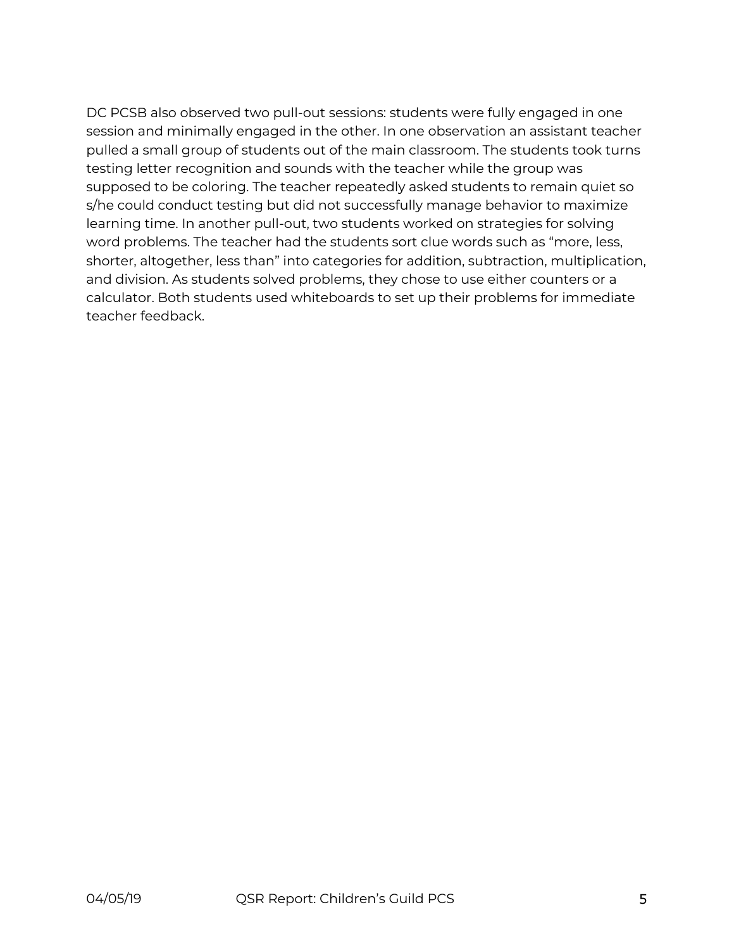DC PCSB also observed two pull-out sessions: students were fully engaged in one session and minimally engaged in the other. In one observation an assistant teacher pulled a small group of students out of the main classroom. The students took turns testing letter recognition and sounds with the teacher while the group was supposed to be coloring. The teacher repeatedly asked students to remain quiet so s/he could conduct testing but did not successfully manage behavior to maximize learning time. In another pull-out, two students worked on strategies for solving word problems. The teacher had the students sort clue words such as "more, less, shorter, altogether, less than" into categories for addition, subtraction, multiplication, and division. As students solved problems, they chose to use either counters or a calculator. Both students used whiteboards to set up their problems for immediate teacher feedback.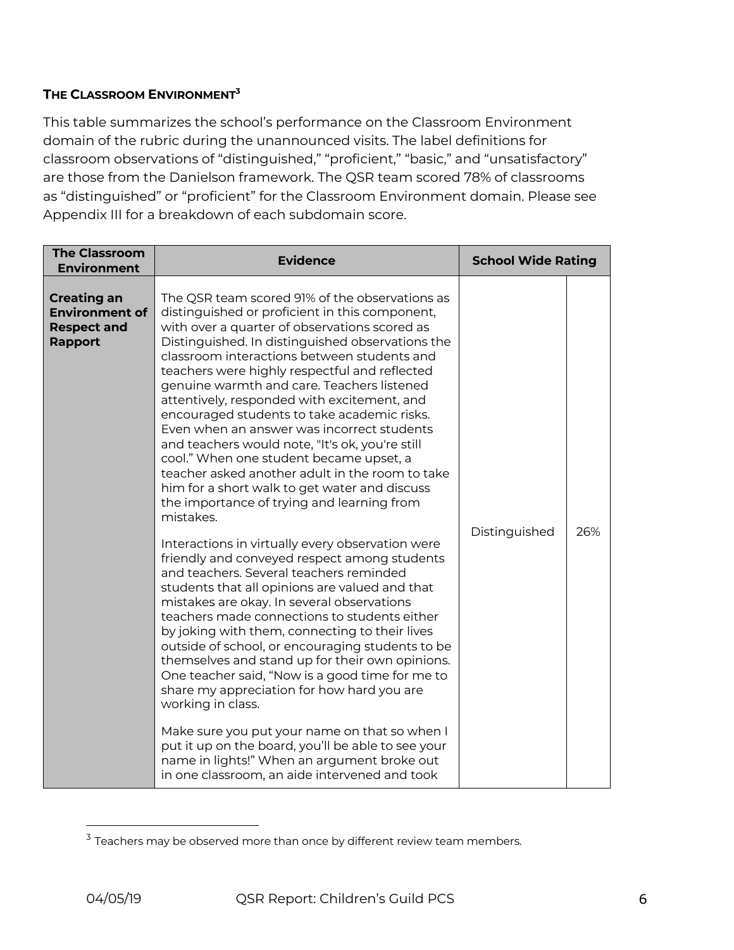## **THE CLASSROOM ENVIRONMENT3**

This table summarizes the school's performance on the Classroom Environment domain of the rubric during the unannounced visits. The label definitions for classroom observations of "distinguished," "proficient," "basic," and "unsatisfactory" are those from the Danielson framework. The QSR team scored 78% of classrooms as "distinguished" or "proficient" for the Classroom Environment domain. Please see Appendix III for a breakdown of each subdomain score.

| <b>The Classroom</b><br><b>Environment</b>                                          | <b>Evidence</b>                                                                                                                                                                                                                                                                                                                                                                                                                                                                                                                                                                                                                                                                                                                                                                                                                                                                                                                                                                                                                                                                                                                                                                                                                                                                                                                                                                                                                                                                                                                                   | <b>School Wide Rating</b> |     |
|-------------------------------------------------------------------------------------|---------------------------------------------------------------------------------------------------------------------------------------------------------------------------------------------------------------------------------------------------------------------------------------------------------------------------------------------------------------------------------------------------------------------------------------------------------------------------------------------------------------------------------------------------------------------------------------------------------------------------------------------------------------------------------------------------------------------------------------------------------------------------------------------------------------------------------------------------------------------------------------------------------------------------------------------------------------------------------------------------------------------------------------------------------------------------------------------------------------------------------------------------------------------------------------------------------------------------------------------------------------------------------------------------------------------------------------------------------------------------------------------------------------------------------------------------------------------------------------------------------------------------------------------------|---------------------------|-----|
| <b>Creating an</b><br><b>Environment of</b><br><b>Respect and</b><br><b>Rapport</b> | The QSR team scored 91% of the observations as<br>distinguished or proficient in this component,<br>with over a quarter of observations scored as<br>Distinguished. In distinguished observations the<br>classroom interactions between students and<br>teachers were highly respectful and reflected<br>genuine warmth and care. Teachers listened<br>attentively, responded with excitement, and<br>encouraged students to take academic risks.<br>Even when an answer was incorrect students<br>and teachers would note, "It's ok, you're still<br>cool." When one student became upset, a<br>teacher asked another adult in the room to take<br>him for a short walk to get water and discuss<br>the importance of trying and learning from<br>mistakes.<br>Interactions in virtually every observation were<br>friendly and conveyed respect among students<br>and teachers. Several teachers reminded<br>students that all opinions are valued and that<br>mistakes are okay. In several observations<br>teachers made connections to students either<br>by joking with them, connecting to their lives<br>outside of school, or encouraging students to be<br>themselves and stand up for their own opinions.<br>One teacher said, "Now is a good time for me to<br>share my appreciation for how hard you are<br>working in class.<br>Make sure you put your name on that so when I<br>put it up on the board, you'll be able to see your<br>name in lights!" When an argument broke out<br>in one classroom, an aide intervened and took | Distinguished             | 26% |

 $3$  Teachers may be observed more than once by different review team members.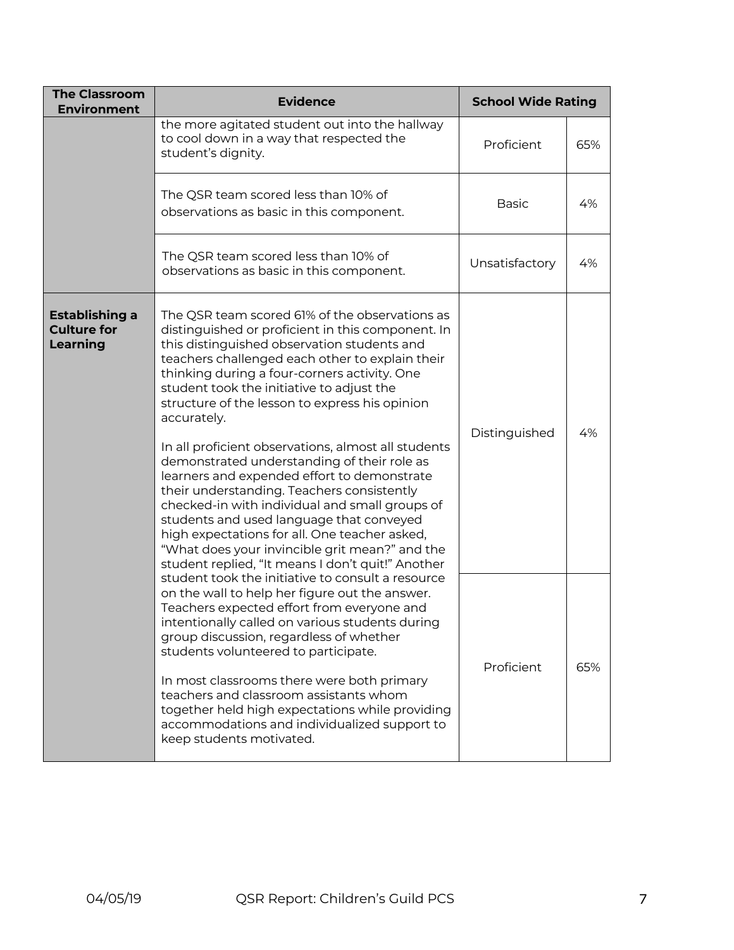| <b>The Classroom</b><br><b>Environment</b>       | <b>School Wide Rating</b>                                                                                                                                                                                                                                                                                                                                                                                                                                                                                                                                                                                                                                                                                                                                                                                                    |                |     |
|--------------------------------------------------|------------------------------------------------------------------------------------------------------------------------------------------------------------------------------------------------------------------------------------------------------------------------------------------------------------------------------------------------------------------------------------------------------------------------------------------------------------------------------------------------------------------------------------------------------------------------------------------------------------------------------------------------------------------------------------------------------------------------------------------------------------------------------------------------------------------------------|----------------|-----|
|                                                  | the more agitated student out into the hallway<br>to cool down in a way that respected the<br>student's dignity.                                                                                                                                                                                                                                                                                                                                                                                                                                                                                                                                                                                                                                                                                                             | Proficient     | 65% |
|                                                  | The QSR team scored less than 10% of<br>observations as basic in this component.                                                                                                                                                                                                                                                                                                                                                                                                                                                                                                                                                                                                                                                                                                                                             | <b>Basic</b>   | 4%  |
|                                                  | The QSR team scored less than 10% of<br>observations as basic in this component.                                                                                                                                                                                                                                                                                                                                                                                                                                                                                                                                                                                                                                                                                                                                             | Unsatisfactory | 4%  |
| Establishing a<br><b>Culture for</b><br>Learning | The QSR team scored 61% of the observations as<br>distinguished or proficient in this component. In<br>this distinguished observation students and<br>teachers challenged each other to explain their<br>thinking during a four-corners activity. One<br>student took the initiative to adjust the<br>structure of the lesson to express his opinion<br>accurately.<br>In all proficient observations, almost all students<br>demonstrated understanding of their role as<br>learners and expended effort to demonstrate<br>their understanding. Teachers consistently<br>checked-in with individual and small groups of<br>students and used language that conveyed<br>high expectations for all. One teacher asked,<br>"What does your invincible grit mean?" and the<br>student replied, "It means I don't quit!" Another | Distinguished  | 4%  |
|                                                  | student took the initiative to consult a resource<br>on the wall to help her figure out the answer.<br>Teachers expected effort from everyone and<br>intentionally called on various students during<br>group discussion, regardless of whether<br>students volunteered to participate.<br>In most classrooms there were both primary<br>teachers and classroom assistants whom<br>together held high expectations while providing<br>accommodations and individualized support to<br>keep students motivated.                                                                                                                                                                                                                                                                                                               | Proficient     | 65% |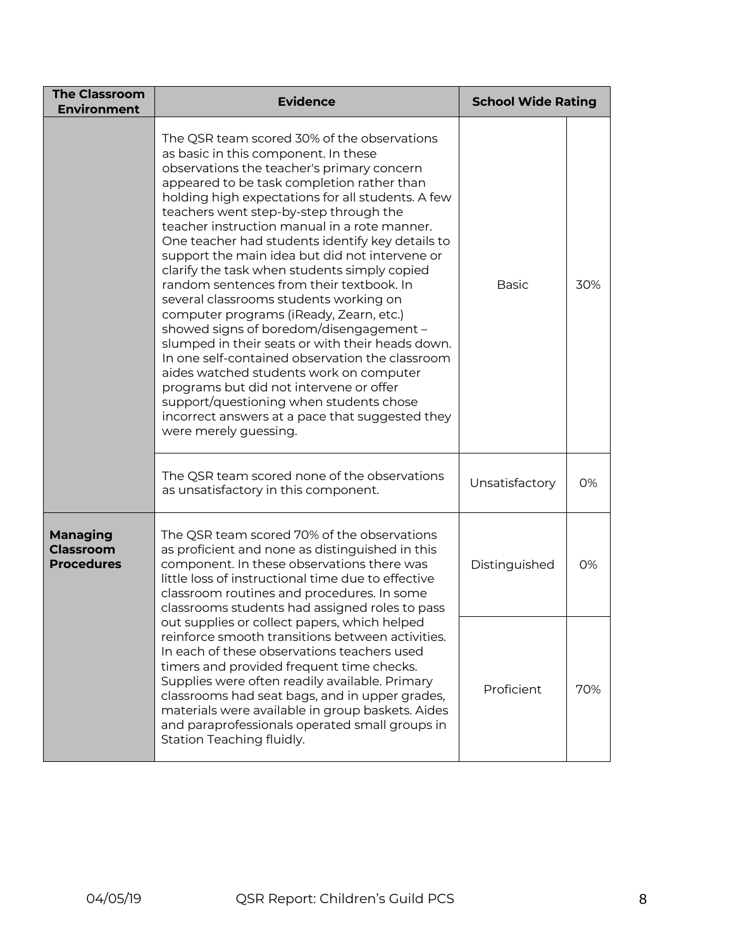| <b>The Classroom</b><br><b>Environment</b>                                                                                                                                                                                                                                                                                                                                                                                                                                                                                                                                                                                                                                                                                                                                                                                                                                                                                                                                           | <b>Evidence</b>                                                                                                                                                                                                                                                                                                                                                                                                                     | <b>School Wide Rating</b> |     |
|--------------------------------------------------------------------------------------------------------------------------------------------------------------------------------------------------------------------------------------------------------------------------------------------------------------------------------------------------------------------------------------------------------------------------------------------------------------------------------------------------------------------------------------------------------------------------------------------------------------------------------------------------------------------------------------------------------------------------------------------------------------------------------------------------------------------------------------------------------------------------------------------------------------------------------------------------------------------------------------|-------------------------------------------------------------------------------------------------------------------------------------------------------------------------------------------------------------------------------------------------------------------------------------------------------------------------------------------------------------------------------------------------------------------------------------|---------------------------|-----|
| The QSR team scored 30% of the observations<br>as basic in this component. In these<br>observations the teacher's primary concern<br>appeared to be task completion rather than<br>holding high expectations for all students. A few<br>teachers went step-by-step through the<br>teacher instruction manual in a rote manner.<br>One teacher had students identify key details to<br>support the main idea but did not intervene or<br>clarify the task when students simply copied<br>random sentences from their textbook. In<br>several classrooms students working on<br>computer programs (iReady, Zearn, etc.)<br>showed signs of boredom/disengagement -<br>slumped in their seats or with their heads down.<br>In one self-contained observation the classroom<br>aides watched students work on computer<br>programs but did not intervene or offer<br>support/questioning when students chose<br>incorrect answers at a pace that suggested they<br>were merely guessing. |                                                                                                                                                                                                                                                                                                                                                                                                                                     | <b>Basic</b>              | 30% |
|                                                                                                                                                                                                                                                                                                                                                                                                                                                                                                                                                                                                                                                                                                                                                                                                                                                                                                                                                                                      | The QSR team scored none of the observations<br>as unsatisfactory in this component.                                                                                                                                                                                                                                                                                                                                                | Unsatisfactory            | 0%  |
| The QSR team scored 70% of the observations<br><b>Managing</b><br><b>Classroom</b><br>as proficient and none as distinguished in this<br><b>Procedures</b><br>component. In these observations there was<br>little loss of instructional time due to effective<br>classroom routines and procedures. In some<br>classrooms students had assigned roles to pass                                                                                                                                                                                                                                                                                                                                                                                                                                                                                                                                                                                                                       |                                                                                                                                                                                                                                                                                                                                                                                                                                     | Distinguished             | 0%  |
|                                                                                                                                                                                                                                                                                                                                                                                                                                                                                                                                                                                                                                                                                                                                                                                                                                                                                                                                                                                      | out supplies or collect papers, which helped<br>reinforce smooth transitions between activities.<br>In each of these observations teachers used<br>timers and provided frequent time checks.<br>Supplies were often readily available. Primary<br>classrooms had seat bags, and in upper grades,<br>materials were available in group baskets. Aides<br>and paraprofessionals operated small groups in<br>Station Teaching fluidly. | Proficient                | 70% |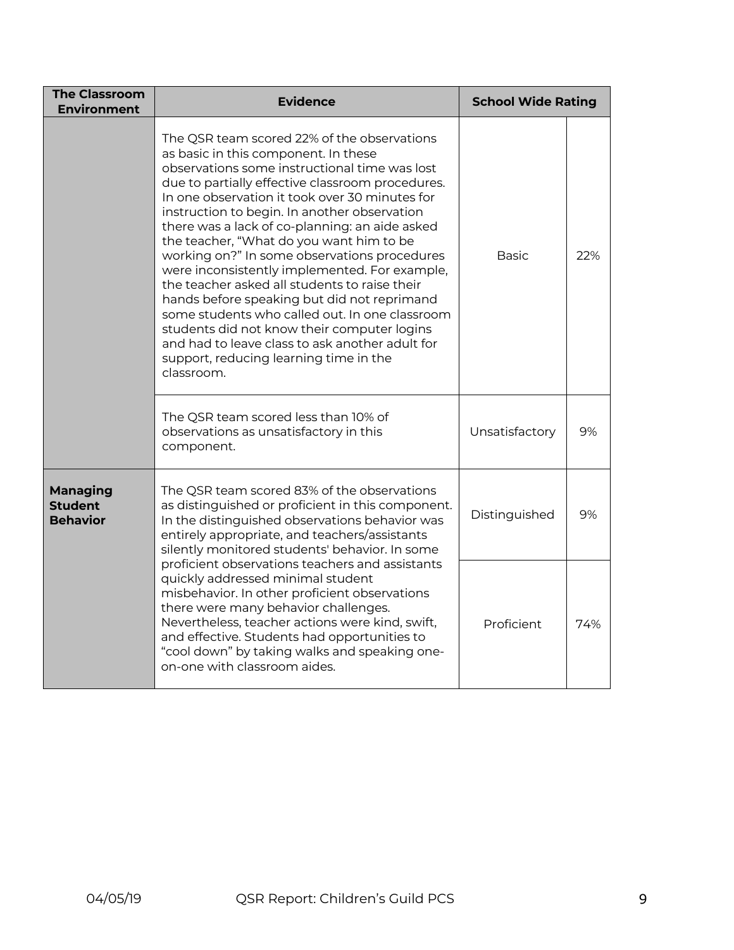| <b>The Classroom</b><br><b>Environment</b>                                                                                                                                                                                                                                                                    | <b>Evidence</b>                                                                                                                                                                                                                                                                                                                                                                                                                                                                                                                                                                                                                                                                                                                                                                                                                                                                                       | <b>School Wide Rating</b> |     |
|---------------------------------------------------------------------------------------------------------------------------------------------------------------------------------------------------------------------------------------------------------------------------------------------------------------|-------------------------------------------------------------------------------------------------------------------------------------------------------------------------------------------------------------------------------------------------------------------------------------------------------------------------------------------------------------------------------------------------------------------------------------------------------------------------------------------------------------------------------------------------------------------------------------------------------------------------------------------------------------------------------------------------------------------------------------------------------------------------------------------------------------------------------------------------------------------------------------------------------|---------------------------|-----|
|                                                                                                                                                                                                                                                                                                               | The QSR team scored 22% of the observations<br>as basic in this component. In these<br>observations some instructional time was lost<br>due to partially effective classroom procedures.<br>In one observation it took over 30 minutes for<br>instruction to begin. In another observation<br>there was a lack of co-planning: an aide asked<br>the teacher, "What do you want him to be<br>working on?" In some observations procedures<br>were inconsistently implemented. For example,<br>the teacher asked all students to raise their<br>hands before speaking but did not reprimand<br>some students who called out. In one classroom<br>students did not know their computer logins<br>and had to leave class to ask another adult for<br>support, reducing learning time in the<br>classroom.<br>The QSR team scored less than 10% of<br>observations as unsatisfactory in this<br>component. |                           | 22% |
|                                                                                                                                                                                                                                                                                                               |                                                                                                                                                                                                                                                                                                                                                                                                                                                                                                                                                                                                                                                                                                                                                                                                                                                                                                       |                           | 9%  |
| <b>Managing</b><br>The QSR team scored 83% of the observations<br><b>Student</b><br>as distinguished or proficient in this component.<br><b>Behavior</b><br>In the distinguished observations behavior was<br>entirely appropriate, and teachers/assistants<br>silently monitored students' behavior. In some |                                                                                                                                                                                                                                                                                                                                                                                                                                                                                                                                                                                                                                                                                                                                                                                                                                                                                                       | Distinguished             | 9%  |
|                                                                                                                                                                                                                                                                                                               | proficient observations teachers and assistants<br>quickly addressed minimal student<br>misbehavior. In other proficient observations<br>there were many behavior challenges.<br>Nevertheless, teacher actions were kind, swift,<br>and effective. Students had opportunities to<br>"cool down" by taking walks and speaking one-<br>on-one with classroom aides.                                                                                                                                                                                                                                                                                                                                                                                                                                                                                                                                     | Proficient                | 74% |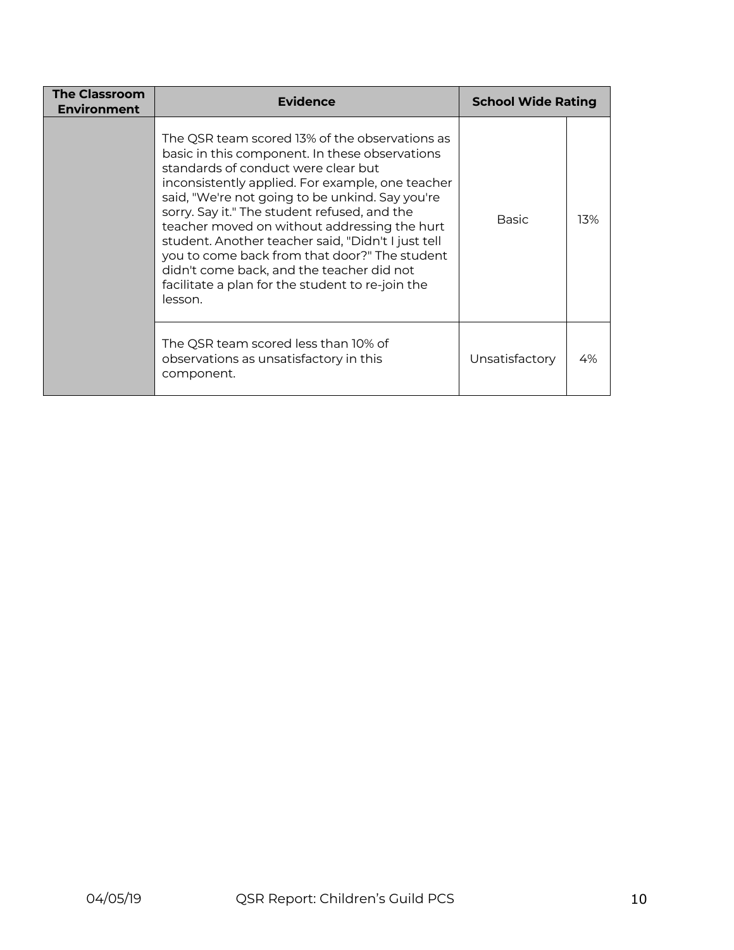| <b>The Classroom</b><br><b>Environment</b> | <b>Evidence</b>                                                                                                                                                                                                                                                                                                                                                                                                                                                                                                                                                   | <b>School Wide Rating</b> |     |
|--------------------------------------------|-------------------------------------------------------------------------------------------------------------------------------------------------------------------------------------------------------------------------------------------------------------------------------------------------------------------------------------------------------------------------------------------------------------------------------------------------------------------------------------------------------------------------------------------------------------------|---------------------------|-----|
|                                            | The QSR team scored 13% of the observations as<br>basic in this component. In these observations<br>standards of conduct were clear but<br>inconsistently applied. For example, one teacher<br>said, "We're not going to be unkind. Say you're<br>sorry. Say it." The student refused, and the<br>teacher moved on without addressing the hurt<br>student. Another teacher said, "Didn't I just tell<br>you to come back from that door?" The student<br>didn't come back, and the teacher did not<br>facilitate a plan for the student to re-join the<br>lesson. | <b>Basic</b>              | 13% |
|                                            | The QSR team scored less than 10% of<br>observations as unsatisfactory in this<br>component.                                                                                                                                                                                                                                                                                                                                                                                                                                                                      | Unsatisfactory            | 4%  |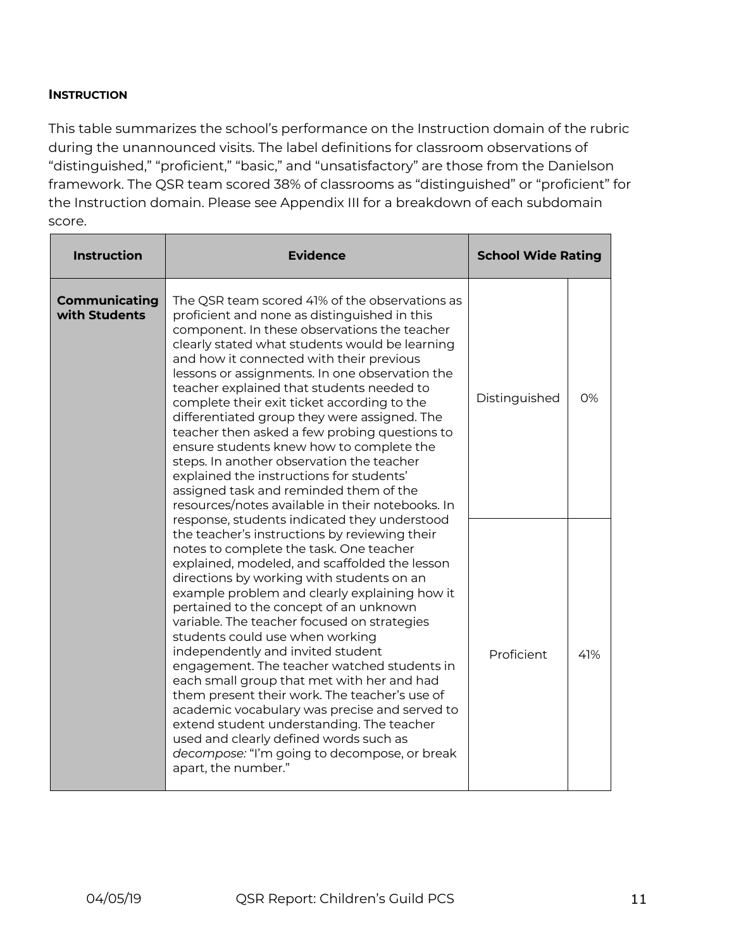#### **INSTRUCTION**

This table summarizes the school's performance on the Instruction domain of the rubric during the unannounced visits. The label definitions for classroom observations of "distinguished," "proficient," "basic," and "unsatisfactory" are those from the Danielson framework. The QSR team scored 38% of classrooms as "distinguished" or "proficient" for the Instruction domain. Please see Appendix III for a breakdown of each subdomain score.

| <b>Instruction</b>             | <b>Evidence</b>                                                                                                                                                                                                                                                                                                                                                                                                                                                                                                                                                                                                                                                                                                                                                                                                       | <b>School Wide Rating</b> |           |
|--------------------------------|-----------------------------------------------------------------------------------------------------------------------------------------------------------------------------------------------------------------------------------------------------------------------------------------------------------------------------------------------------------------------------------------------------------------------------------------------------------------------------------------------------------------------------------------------------------------------------------------------------------------------------------------------------------------------------------------------------------------------------------------------------------------------------------------------------------------------|---------------------------|-----------|
| Communicating<br>with Students | The QSR team scored 41% of the observations as<br>proficient and none as distinguished in this<br>component. In these observations the teacher<br>clearly stated what students would be learning<br>and how it connected with their previous<br>lessons or assignments. In one observation the<br>teacher explained that students needed to<br>complete their exit ticket according to the<br>differentiated group they were assigned. The<br>teacher then asked a few probing questions to<br>ensure students knew how to complete the<br>steps. In another observation the teacher<br>explained the instructions for students'<br>assigned task and reminded them of the<br>resources/notes available in their notebooks. In                                                                                        | Distinguished             | <b>O%</b> |
|                                | response, students indicated they understood<br>the teacher's instructions by reviewing their<br>notes to complete the task. One teacher<br>explained, modeled, and scaffolded the lesson<br>directions by working with students on an<br>example problem and clearly explaining how it<br>pertained to the concept of an unknown<br>variable. The teacher focused on strategies<br>students could use when working<br>independently and invited student<br>engagement. The teacher watched students in<br>each small group that met with her and had<br>them present their work. The teacher's use of<br>academic vocabulary was precise and served to<br>extend student understanding. The teacher<br>used and clearly defined words such as<br>decompose: "I'm going to decompose, or break<br>apart, the number." | Proficient                | 41%       |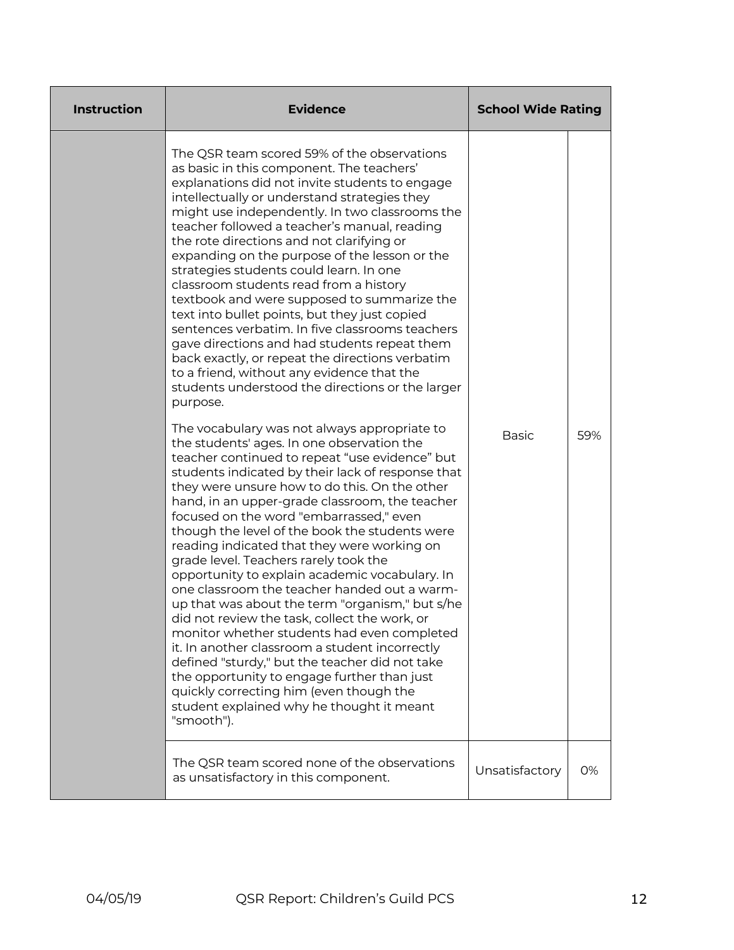| <b>Instruction</b> | <b>Evidence</b>                                                                                                                                                                                                                                                                                                                                                                                                                                                                                                                                                                                                                                                                                                                                                                                                                                                                                                                                                                                                                                                                                                                                                                                                                                                                                                                                                                                                                                                                                                                                                                                                                                                                                                                                                                                                                                                | <b>School Wide Rating</b> |     |
|--------------------|----------------------------------------------------------------------------------------------------------------------------------------------------------------------------------------------------------------------------------------------------------------------------------------------------------------------------------------------------------------------------------------------------------------------------------------------------------------------------------------------------------------------------------------------------------------------------------------------------------------------------------------------------------------------------------------------------------------------------------------------------------------------------------------------------------------------------------------------------------------------------------------------------------------------------------------------------------------------------------------------------------------------------------------------------------------------------------------------------------------------------------------------------------------------------------------------------------------------------------------------------------------------------------------------------------------------------------------------------------------------------------------------------------------------------------------------------------------------------------------------------------------------------------------------------------------------------------------------------------------------------------------------------------------------------------------------------------------------------------------------------------------------------------------------------------------------------------------------------------------|---------------------------|-----|
|                    | The QSR team scored 59% of the observations<br>as basic in this component. The teachers'<br>explanations did not invite students to engage<br>intellectually or understand strategies they<br>might use independently. In two classrooms the<br>teacher followed a teacher's manual, reading<br>the rote directions and not clarifying or<br>expanding on the purpose of the lesson or the<br>strategies students could learn. In one<br>classroom students read from a history<br>textbook and were supposed to summarize the<br>text into bullet points, but they just copied<br>sentences verbatim. In five classrooms teachers<br>gave directions and had students repeat them<br>back exactly, or repeat the directions verbatim<br>to a friend, without any evidence that the<br>students understood the directions or the larger<br>purpose.<br>The vocabulary was not always appropriate to<br>the students' ages. In one observation the<br>teacher continued to repeat "use evidence" but<br>students indicated by their lack of response that<br>they were unsure how to do this. On the other<br>hand, in an upper-grade classroom, the teacher<br>focused on the word "embarrassed," even<br>though the level of the book the students were<br>reading indicated that they were working on<br>grade level. Teachers rarely took the<br>opportunity to explain academic vocabulary. In<br>one classroom the teacher handed out a warm-<br>up that was about the term "organism," but s/he<br>did not review the task, collect the work, or<br>monitor whether students had even completed<br>it. In another classroom a student incorrectly<br>defined "sturdy," but the teacher did not take<br>the opportunity to engage further than just<br>quickly correcting him (even though the<br>student explained why he thought it meant<br>"smooth"). | <b>Basic</b>              | 59% |
|                    | The QSR team scored none of the observations<br>as unsatisfactory in this component.                                                                                                                                                                                                                                                                                                                                                                                                                                                                                                                                                                                                                                                                                                                                                                                                                                                                                                                                                                                                                                                                                                                                                                                                                                                                                                                                                                                                                                                                                                                                                                                                                                                                                                                                                                           | Unsatisfactory            | 0%  |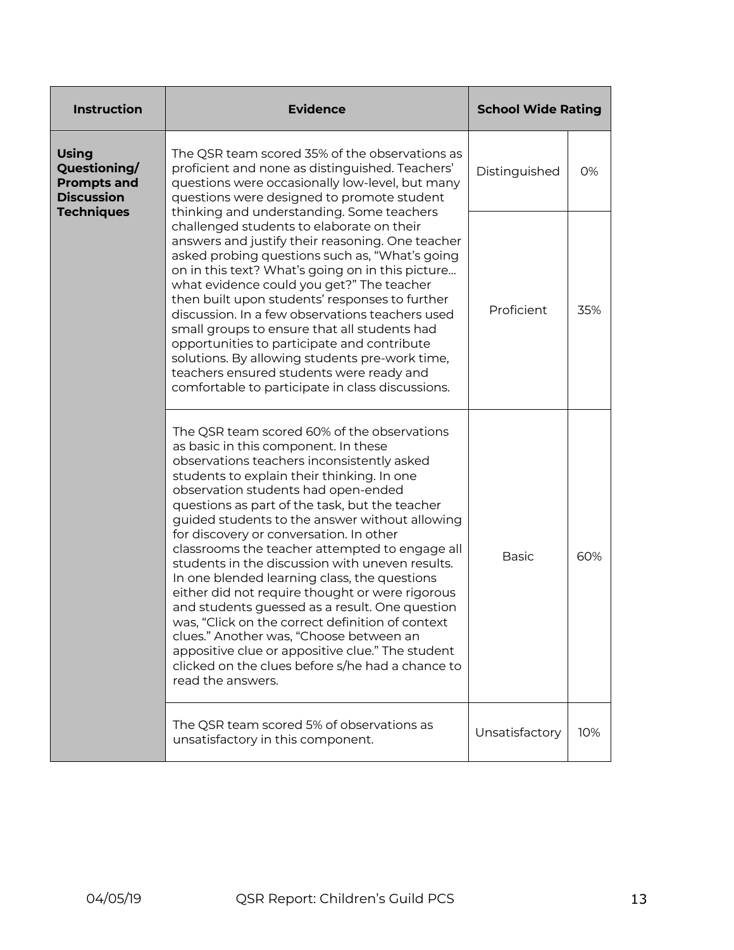| <b>Instruction</b>                                                             | <b>Evidence</b>                                                                                                                                                                                                                                                                                                                                                                                                                                                                                                                                                                                                                                                                                                                                                                                                                                             | <b>School Wide Rating</b> |     |
|--------------------------------------------------------------------------------|-------------------------------------------------------------------------------------------------------------------------------------------------------------------------------------------------------------------------------------------------------------------------------------------------------------------------------------------------------------------------------------------------------------------------------------------------------------------------------------------------------------------------------------------------------------------------------------------------------------------------------------------------------------------------------------------------------------------------------------------------------------------------------------------------------------------------------------------------------------|---------------------------|-----|
| <b>Using</b><br>Questioning/<br><b>Prompts and</b><br><b>Discussion</b>        | The QSR team scored 35% of the observations as<br>proficient and none as distinguished. Teachers'<br>questions were occasionally low-level, but many<br>questions were designed to promote student                                                                                                                                                                                                                                                                                                                                                                                                                                                                                                                                                                                                                                                          | Distinguished             | 0%  |
| <b>Techniques</b>                                                              | thinking and understanding. Some teachers<br>challenged students to elaborate on their<br>answers and justify their reasoning. One teacher<br>asked probing questions such as, "What's going<br>on in this text? What's going on in this picture<br>what evidence could you get?" The teacher<br>then built upon students' responses to further<br>discussion. In a few observations teachers used<br>small groups to ensure that all students had<br>opportunities to participate and contribute<br>solutions. By allowing students pre-work time,<br>teachers ensured students were ready and<br>comfortable to participate in class discussions.                                                                                                                                                                                                         | Proficient                | 35% |
|                                                                                | The QSR team scored 60% of the observations<br>as basic in this component. In these<br>observations teachers inconsistently asked<br>students to explain their thinking. In one<br>observation students had open-ended<br>questions as part of the task, but the teacher<br>guided students to the answer without allowing<br>for discovery or conversation. In other<br>classrooms the teacher attempted to engage all<br>students in the discussion with uneven results.<br>In one blended learning class, the questions<br>either did not require thought or were rigorous<br>and students guessed as a result. One question<br>was, "Click on the correct definition of context<br>clues." Another was, "Choose between an<br>appositive clue or appositive clue." The student<br>clicked on the clues before s/he had a chance to<br>read the answers. | <b>Basic</b>              | 60% |
| The QSR team scored 5% of observations as<br>unsatisfactory in this component. |                                                                                                                                                                                                                                                                                                                                                                                                                                                                                                                                                                                                                                                                                                                                                                                                                                                             | Unsatisfactory            | 10% |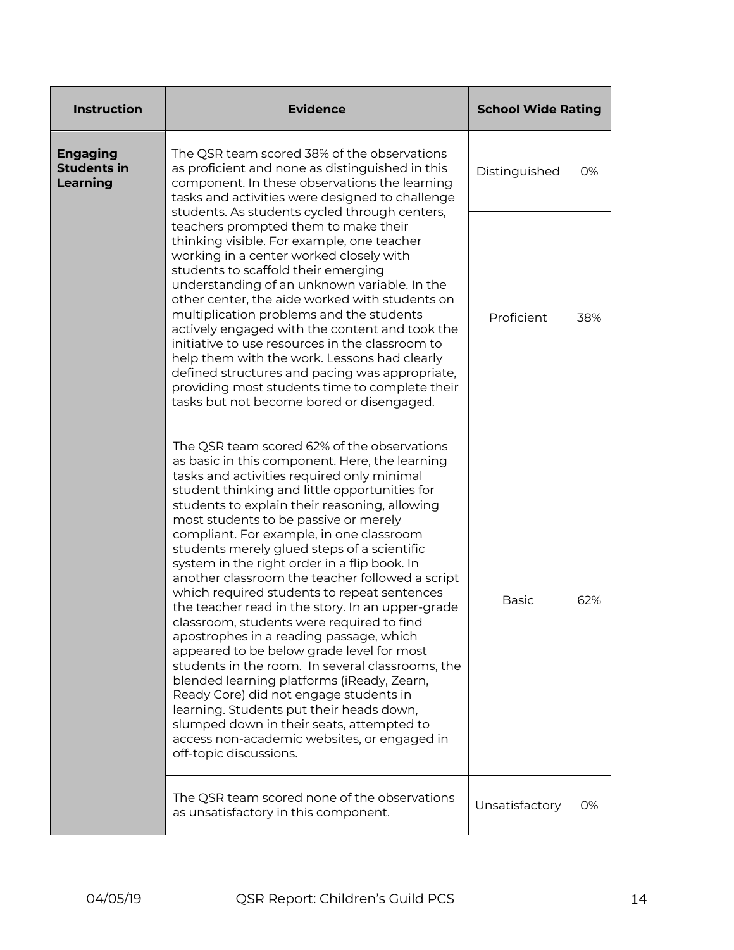| <b>Instruction</b>                                | <b>Evidence</b>                                                                                                                                                                                                                                                                                                                                                                                                                                                                                                                                                                                                                                                                                                                                                                                                                                                                                                                                                                                                                            | <b>School Wide Rating</b> |     |
|---------------------------------------------------|--------------------------------------------------------------------------------------------------------------------------------------------------------------------------------------------------------------------------------------------------------------------------------------------------------------------------------------------------------------------------------------------------------------------------------------------------------------------------------------------------------------------------------------------------------------------------------------------------------------------------------------------------------------------------------------------------------------------------------------------------------------------------------------------------------------------------------------------------------------------------------------------------------------------------------------------------------------------------------------------------------------------------------------------|---------------------------|-----|
| <b>Engaging</b><br><b>Students in</b><br>Learning | The QSR team scored 38% of the observations<br>as proficient and none as distinguished in this<br>component. In these observations the learning<br>tasks and activities were designed to challenge                                                                                                                                                                                                                                                                                                                                                                                                                                                                                                                                                                                                                                                                                                                                                                                                                                         | Distinguished             | 0%  |
|                                                   | students. As students cycled through centers,<br>teachers prompted them to make their<br>thinking visible. For example, one teacher<br>working in a center worked closely with<br>students to scaffold their emerging<br>understanding of an unknown variable. In the<br>other center, the aide worked with students on<br>multiplication problems and the students<br>actively engaged with the content and took the<br>initiative to use resources in the classroom to<br>help them with the work. Lessons had clearly<br>defined structures and pacing was appropriate,<br>providing most students time to complete their<br>tasks but not become bored or disengaged.                                                                                                                                                                                                                                                                                                                                                                  | Proficient                | 38% |
|                                                   | The QSR team scored 62% of the observations<br>as basic in this component. Here, the learning<br>tasks and activities required only minimal<br>student thinking and little opportunities for<br>students to explain their reasoning, allowing<br>most students to be passive or merely<br>compliant. For example, in one classroom<br>students merely glued steps of a scientific<br>system in the right order in a flip book. In<br>another classroom the teacher followed a script<br>which required students to repeat sentences<br>the teacher read in the story. In an upper-grade<br>classroom, students were required to find<br>apostrophes in a reading passage, which<br>appeared to be below grade level for most<br>students in the room. In several classrooms, the<br>blended learning platforms (iReady, Zearn,<br>Ready Core) did not engage students in<br>learning. Students put their heads down,<br>slumped down in their seats, attempted to<br>access non-academic websites, or engaged in<br>off-topic discussions. | <b>Basic</b>              | 62% |
|                                                   | The QSR team scored none of the observations<br>as unsatisfactory in this component.                                                                                                                                                                                                                                                                                                                                                                                                                                                                                                                                                                                                                                                                                                                                                                                                                                                                                                                                                       | Unsatisfactory            | 0%  |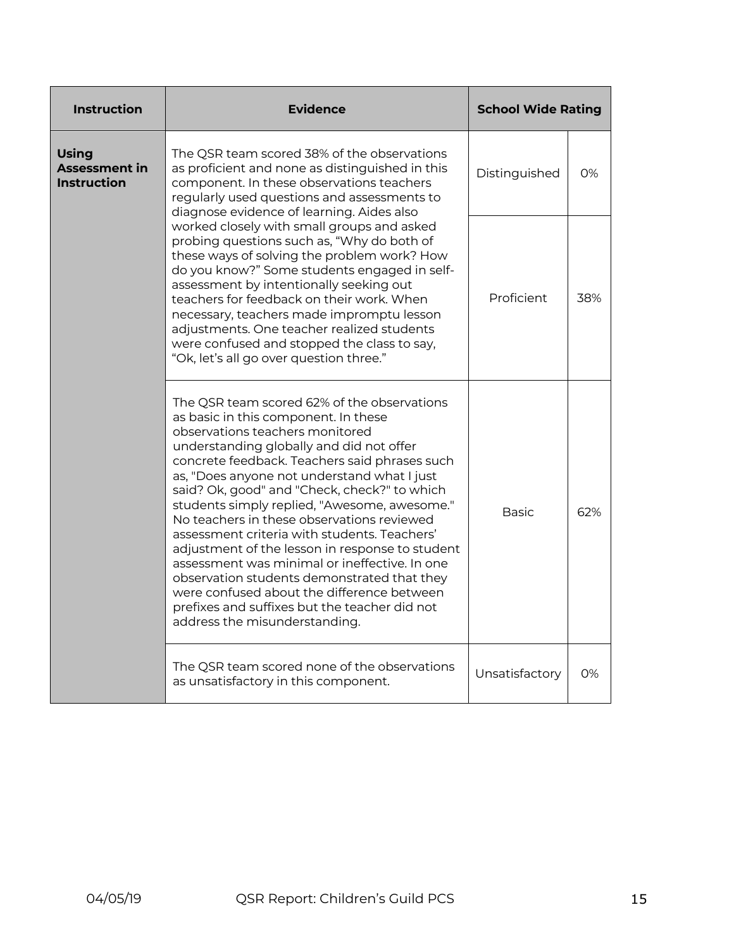| <b>Instruction</b>                                                                                                                                                                                                                                                                                                                                                                                                                                                                                                                                                                                                                                                                                                                                  | <b>Evidence</b>                                                                                        | <b>School Wide Rating</b> |     |
|-----------------------------------------------------------------------------------------------------------------------------------------------------------------------------------------------------------------------------------------------------------------------------------------------------------------------------------------------------------------------------------------------------------------------------------------------------------------------------------------------------------------------------------------------------------------------------------------------------------------------------------------------------------------------------------------------------------------------------------------------------|--------------------------------------------------------------------------------------------------------|---------------------------|-----|
| <b>Using</b><br>The QSR team scored 38% of the observations<br><b>Assessment in</b><br>as proficient and none as distinguished in this<br><b>Instruction</b><br>component. In these observations teachers<br>regularly used questions and assessments to<br>diagnose evidence of learning. Aides also                                                                                                                                                                                                                                                                                                                                                                                                                                               |                                                                                                        | Distinguished             | 0%  |
| worked closely with small groups and asked<br>probing questions such as, "Why do both of<br>these ways of solving the problem work? How<br>do you know?" Some students engaged in self-<br>assessment by intentionally seeking out<br>teachers for feedback on their work. When<br>necessary, teachers made impromptu lesson<br>adjustments. One teacher realized students<br>were confused and stopped the class to say,<br>"Ok, let's all go over question three."                                                                                                                                                                                                                                                                                | Proficient                                                                                             | 38%                       |     |
| The QSR team scored 62% of the observations<br>as basic in this component. In these<br>observations teachers monitored<br>understanding globally and did not offer<br>concrete feedback. Teachers said phrases such<br>as, "Does anyone not understand what I just<br>said? Ok, good" and "Check, check?" to which<br>students simply replied, "Awesome, awesome."<br>No teachers in these observations reviewed<br>assessment criteria with students. Teachers'<br>adjustment of the lesson in response to student<br>assessment was minimal or ineffective. In one<br>observation students demonstrated that they<br>were confused about the difference between<br>prefixes and suffixes but the teacher did not<br>address the misunderstanding. |                                                                                                        | <b>Basic</b>              | 62% |
|                                                                                                                                                                                                                                                                                                                                                                                                                                                                                                                                                                                                                                                                                                                                                     | The QSR team scored none of the observations<br>Unsatisfactory<br>as unsatisfactory in this component. |                           | 0%  |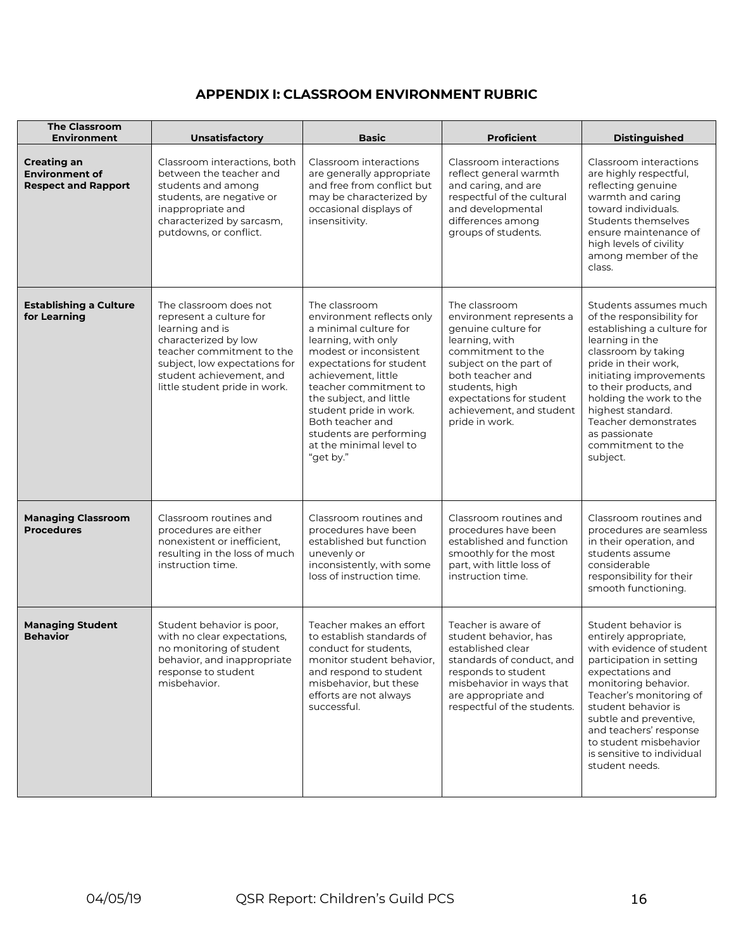## **APPENDIX I: CLASSROOM ENVIRONMENT RUBRIC**

| <b>The Classroom</b><br>Environment                                       | Unsatisfactory                                                                                                                                                                                                          | <b>Basic</b>                                                                                                                                                                                                                                                                                                                                 | <b>Proficient</b>                                                                                                                                                                                                                                 | <b>Distinguished</b>                                                                                                                                                                                                                                                                                                              |
|---------------------------------------------------------------------------|-------------------------------------------------------------------------------------------------------------------------------------------------------------------------------------------------------------------------|----------------------------------------------------------------------------------------------------------------------------------------------------------------------------------------------------------------------------------------------------------------------------------------------------------------------------------------------|---------------------------------------------------------------------------------------------------------------------------------------------------------------------------------------------------------------------------------------------------|-----------------------------------------------------------------------------------------------------------------------------------------------------------------------------------------------------------------------------------------------------------------------------------------------------------------------------------|
| <b>Creating an</b><br><b>Environment of</b><br><b>Respect and Rapport</b> | Classroom interactions, both<br>between the teacher and<br>students and among<br>students, are negative or<br>inappropriate and<br>characterized by sarcasm,<br>putdowns, or conflict.                                  | Classroom interactions<br>are generally appropriate<br>and free from conflict but<br>may be characterized by<br>occasional displays of<br>insensitivity.                                                                                                                                                                                     | Classroom interactions<br>reflect general warmth<br>and caring, and are<br>respectful of the cultural<br>and developmental<br>differences among<br>groups of students.                                                                            | Classroom interactions<br>are highly respectful,<br>reflecting genuine<br>warmth and caring<br>toward individuals.<br>Students themselves<br>ensure maintenance of<br>high levels of civility<br>among member of the<br>class.                                                                                                    |
| <b>Establishing a Culture</b><br>for Learning                             | The classroom does not<br>represent a culture for<br>learning and is<br>characterized by low<br>teacher commitment to the<br>subject, low expectations for<br>student achievement, and<br>little student pride in work. | The classroom<br>environment reflects only<br>a minimal culture for<br>learning, with only<br>modest or inconsistent<br>expectations for student<br>achievement, little<br>teacher commitment to<br>the subject, and little<br>student pride in work.<br>Both teacher and<br>students are performing<br>at the minimal level to<br>"get by." | The classroom<br>environment represents a<br>genuine culture for<br>learning, with<br>commitment to the<br>subject on the part of<br>both teacher and<br>students, high<br>expectations for student<br>achievement, and student<br>pride in work. | Students assumes much<br>of the responsibility for<br>establishing a culture for<br>learning in the<br>classroom by taking<br>pride in their work,<br>initiating improvements<br>to their products, and<br>holding the work to the<br>highest standard.<br>Teacher demonstrates<br>as passionate<br>commitment to the<br>subject. |
| <b>Managing Classroom</b><br><b>Procedures</b>                            | Classroom routines and<br>procedures are either<br>nonexistent or inefficient,<br>resulting in the loss of much<br>instruction time.                                                                                    | Classroom routines and<br>procedures have been<br>established but function<br>unevenly or<br>inconsistently, with some<br>loss of instruction time.                                                                                                                                                                                          | Classroom routines and<br>procedures have been<br>established and function<br>smoothly for the most<br>part, with little loss of<br>instruction time.                                                                                             | Classroom routines and<br>procedures are seamless<br>in their operation, and<br>students assume<br>considerable<br>responsibility for their<br>smooth functioning.                                                                                                                                                                |
| <b>Managing Student</b><br><b>Behavior</b>                                | Student behavior is poor,<br>with no clear expectations,<br>no monitoring of student<br>behavior, and inappropriate<br>response to student<br>misbehavior.                                                              | Teacher makes an effort<br>to establish standards of<br>conduct for students.<br>monitor student behavior,<br>and respond to student<br>misbehavior, but these<br>efforts are not always<br>successful.                                                                                                                                      | Teacher is aware of<br>student behavior, has<br>established clear<br>standards of conduct, and<br>responds to student<br>misbehavior in ways that<br>are appropriate and<br>respectful of the students.                                           | Student behavior is<br>entirely appropriate,<br>with evidence of student<br>participation in setting<br>expectations and<br>monitoring behavior.<br>Teacher's monitoring of<br>student behavior is<br>subtle and preventive,<br>and teachers' response<br>to student misbehavior<br>is sensitive to individual<br>student needs.  |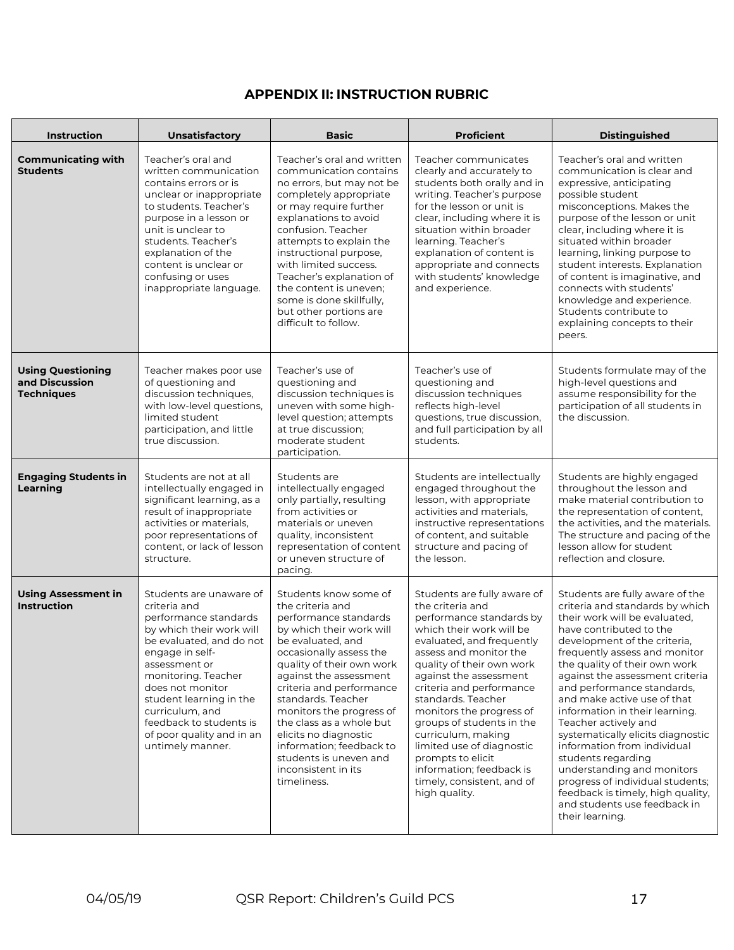## **APPENDIX II: INSTRUCTION RUBRIC**

| <b>Instruction</b>                                              | <b>Unsatisfactory</b>                                                                                                                                                                                                                                                                                                             | <b>Basic</b>                                                                                                                                                                                                                                                                                                                                                                                                                         | <b>Proficient</b>                                                                                                                                                                                                                                                                                                                                                                                                                                                                   | <b>Distinguished</b>                                                                                                                                                                                                                                                                                                                                                                                                                                                                                                                                                                                                                           |
|-----------------------------------------------------------------|-----------------------------------------------------------------------------------------------------------------------------------------------------------------------------------------------------------------------------------------------------------------------------------------------------------------------------------|--------------------------------------------------------------------------------------------------------------------------------------------------------------------------------------------------------------------------------------------------------------------------------------------------------------------------------------------------------------------------------------------------------------------------------------|-------------------------------------------------------------------------------------------------------------------------------------------------------------------------------------------------------------------------------------------------------------------------------------------------------------------------------------------------------------------------------------------------------------------------------------------------------------------------------------|------------------------------------------------------------------------------------------------------------------------------------------------------------------------------------------------------------------------------------------------------------------------------------------------------------------------------------------------------------------------------------------------------------------------------------------------------------------------------------------------------------------------------------------------------------------------------------------------------------------------------------------------|
| <b>Communicating with</b><br><b>Students</b>                    | Teacher's oral and<br>written communication<br>contains errors or is<br>unclear or inappropriate<br>to students. Teacher's<br>purpose in a lesson or<br>unit is unclear to<br>students. Teacher's<br>explanation of the<br>content is unclear or<br>confusing or uses<br>inappropriate language.                                  | Teacher's oral and written<br>communication contains<br>no errors, but may not be<br>completely appropriate<br>or may require further<br>explanations to avoid<br>confusion. Teacher<br>attempts to explain the<br>instructional purpose,<br>with limited success.<br>Teacher's explanation of<br>the content is uneven;<br>some is done skillfully,<br>but other portions are<br>difficult to follow.                               | Teacher communicates<br>clearly and accurately to<br>students both orally and in<br>writing. Teacher's purpose<br>for the lesson or unit is<br>clear, including where it is<br>situation within broader<br>learning. Teacher's<br>explanation of content is<br>appropriate and connects<br>with students' knowledge<br>and experience.                                                                                                                                              | Teacher's oral and written<br>communication is clear and<br>expressive, anticipating<br>possible student<br>misconceptions. Makes the<br>purpose of the lesson or unit<br>clear, including where it is<br>situated within broader<br>learning, linking purpose to<br>student interests. Explanation<br>of content is imaginative, and<br>connects with students'<br>knowledge and experience.<br>Students contribute to<br>explaining concepts to their<br>peers.                                                                                                                                                                              |
| <b>Using Questioning</b><br>and Discussion<br><b>Techniques</b> | Teacher makes poor use<br>of questioning and<br>discussion techniques,<br>with low-level questions,<br>limited student<br>participation, and little<br>true discussion.                                                                                                                                                           | Teacher's use of<br>questioning and<br>discussion techniques is<br>uneven with some high-<br>level question; attempts<br>at true discussion;<br>moderate student<br>participation.                                                                                                                                                                                                                                                   | Teacher's use of<br>questioning and<br>discussion techniques<br>reflects high-level<br>questions, true discussion,<br>and full participation by all<br>students.                                                                                                                                                                                                                                                                                                                    | Students formulate may of the<br>high-level questions and<br>assume responsibility for the<br>participation of all students in<br>the discussion.                                                                                                                                                                                                                                                                                                                                                                                                                                                                                              |
| <b>Engaging Students in</b><br>Learning                         | Students are not at all<br>intellectually engaged in<br>significant learning, as a<br>result of inappropriate<br>activities or materials,<br>poor representations of<br>content, or lack of lesson<br>structure.                                                                                                                  | Students are<br>intellectually engaged<br>only partially, resulting<br>from activities or<br>materials or uneven<br>quality, inconsistent<br>representation of content<br>or uneven structure of<br>pacing.                                                                                                                                                                                                                          | Students are intellectually<br>engaged throughout the<br>lesson, with appropriate<br>activities and materials,<br>instructive representations<br>of content, and suitable<br>structure and pacing of<br>the lesson.                                                                                                                                                                                                                                                                 | Students are highly engaged<br>throughout the lesson and<br>make material contribution to<br>the representation of content.<br>the activities, and the materials.<br>The structure and pacing of the<br>lesson allow for student<br>reflection and closure.                                                                                                                                                                                                                                                                                                                                                                                    |
| <b>Using Assessment in</b><br><b>Instruction</b>                | Students are unaware of<br>criteria and<br>performance standards<br>by which their work will<br>be evaluated, and do not<br>engage in self-<br>assessment or<br>monitoring. Teacher<br>does not monitor<br>student learning in the<br>curriculum, and<br>feedback to students is<br>of poor quality and in an<br>untimely manner. | Students know some of<br>the criteria and<br>performance standards<br>by which their work will<br>be evaluated, and<br>occasionally assess the<br>quality of their own work<br>against the assessment<br>criteria and performance<br>standards. Teacher<br>monitors the progress of<br>the class as a whole but<br>elicits no diagnostic<br>information; feedback to<br>students is uneven and<br>inconsistent in its<br>timeliness. | Students are fully aware of<br>the criteria and<br>performance standards by<br>which their work will be<br>evaluated, and frequently<br>assess and monitor the<br>quality of their own work<br>against the assessment<br>criteria and performance<br>standards. Teacher<br>monitors the progress of<br>groups of students in the<br>curriculum, making<br>limited use of diagnostic<br>prompts to elicit<br>information; feedback is<br>timely, consistent, and of<br>high quality. | Students are fully aware of the<br>criteria and standards by which<br>their work will be evaluated,<br>have contributed to the<br>development of the criteria,<br>frequently assess and monitor<br>the quality of their own work<br>against the assessment criteria<br>and performance standards,<br>and make active use of that<br>information in their learning.<br>Teacher actively and<br>systematically elicits diagnostic<br>information from individual<br>students regarding<br>understanding and monitors<br>progress of individual students;<br>feedback is timely, high quality,<br>and students use feedback in<br>their learning. |